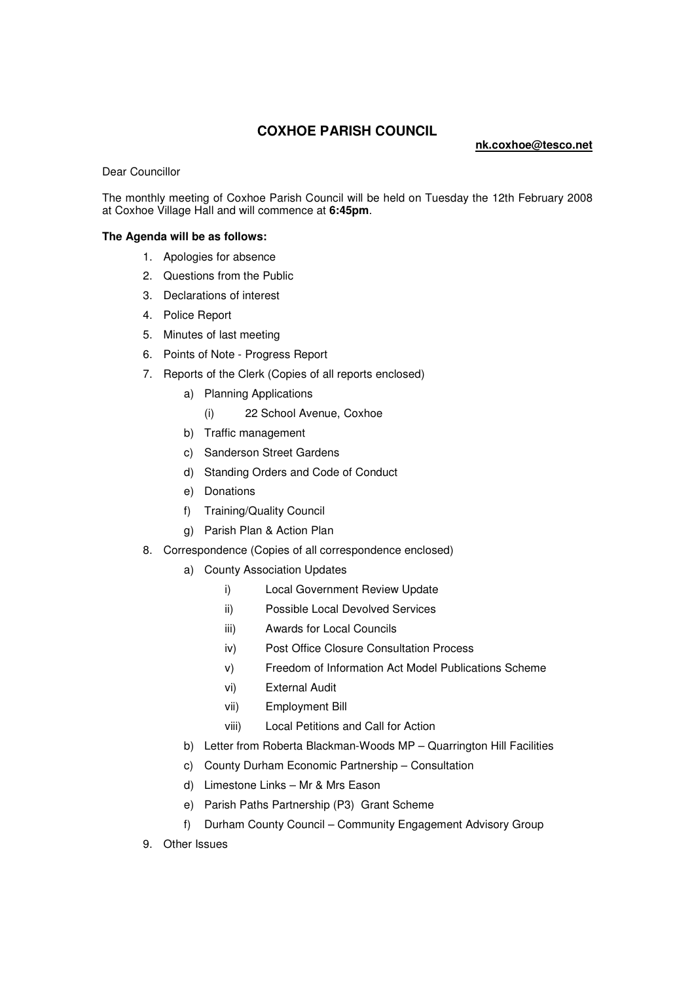## **COXHOE PARISH COUNCIL**

## **nk.coxhoe@tesco.net**

Dear Councillor

The monthly meeting of Coxhoe Parish Council will be held on Tuesday the 12th February 2008 at Coxhoe Village Hall and will commence at **6:45pm**.

## **The Agenda will be as follows:**

- 1. Apologies for absence
- 2. Questions from the Public
- 3. Declarations of interest
- 4. Police Report
- 5. Minutes of last meeting
- 6. Points of Note Progress Report
- 7. Reports of the Clerk (Copies of all reports enclosed)
	- a) Planning Applications
		- (i) 22 School Avenue, Coxhoe
	- b) Traffic management
	- c) Sanderson Street Gardens
	- d) Standing Orders and Code of Conduct
	- e) Donations
	- f) Training/Quality Council
	- g) Parish Plan & Action Plan
- 8. Correspondence (Copies of all correspondence enclosed)
	- a) County Association Updates
		- i) Local Government Review Update
		- ii) Possible Local Devolved Services
		- iii) Awards for Local Councils
		- iv) Post Office Closure Consultation Process
		- v) Freedom of Information Act Model Publications Scheme
		- vi) External Audit
		- vii) Employment Bill
		- viii) Local Petitions and Call for Action
	- b) Letter from Roberta Blackman-Woods MP Quarrington Hill Facilities
	- c) County Durham Economic Partnership Consultation
	- d) Limestone Links Mr & Mrs Eason
	- e) Parish Paths Partnership (P3) Grant Scheme
	- f) Durham County Council Community Engagement Advisory Group
- 9. Other Issues